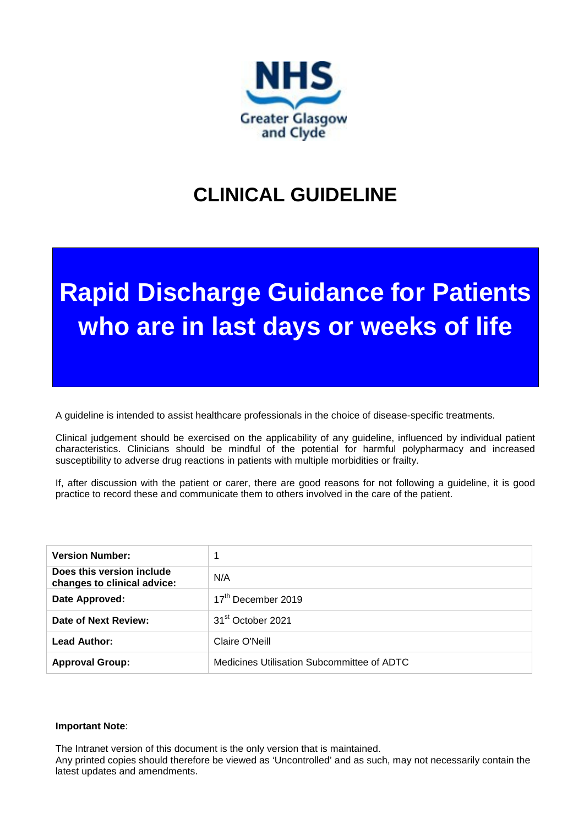

# **CLINICAL GUIDELINE**

# **Rapid Discharge Guidance for Patients who are in last days or weeks of life**

A guideline is intended to assist healthcare professionals in the choice of disease-specific treatments.

Clinical judgement should be exercised on the applicability of any guideline, influenced by individual patient characteristics. Clinicians should be mindful of the potential for harmful polypharmacy and increased susceptibility to adverse drug reactions in patients with multiple morbidities or frailty.

If, after discussion with the patient or carer, there are good reasons for not following a guideline, it is good practice to record these and communicate them to others involved in the care of the patient.

| <b>Version Number:</b>                                   | 1                                          |  |  |
|----------------------------------------------------------|--------------------------------------------|--|--|
| Does this version include<br>changes to clinical advice: | N/A                                        |  |  |
| Date Approved:                                           | 17 <sup>th</sup> December 2019             |  |  |
| Date of Next Review:                                     | 31 <sup>st</sup> October 2021              |  |  |
| Lead Author:                                             | Claire O'Neill                             |  |  |
| <b>Approval Group:</b>                                   | Medicines Utilisation Subcommittee of ADTC |  |  |

#### **Important Note**:

The Intranet version of this document is the only version that is maintained.

Any printed copies should therefore be viewed as 'Uncontrolled' and as such, may not necessarily contain the latest updates and amendments.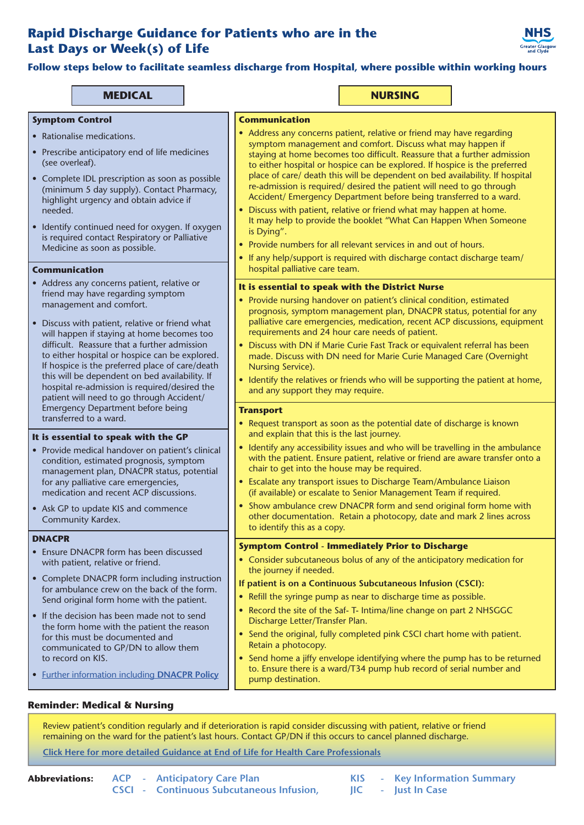### **Rapid Discharge Guidance for Patients who are in the Last Days or Week(s) of Life**



**Follow steps below to facilitate seamless discharge from Hospital, where possible within working hours**

#### **MEDICAL NURSING**

#### **Symptom Control**

- Rationalise medications.
- Prescribe anticipatory end of life medicines (see overleaf).
- Complete IDL prescription as soon as possible (minimum 5 day supply). Contact Pharmacy, highlight urgency and obtain advice if needed.
- Identify continued need for oxygen. If oxygen is required contact Respiratory or Palliative Medicine as soon as possible.

#### **Communication**

- Address any concerns patient, relative or friend may have regarding symptom management and comfort.
- Discuss with patient, relative or friend what will happen if staying at home becomes too difficult. Reassure that a further admission to either hospital or hospice can be explored. If hospice is the preferred place of care/death this will be dependent on bed availability. If hospital re-admission is required/desired the patient will need to go through Accident/ Emergency Department before being transferred to a ward.

#### **It is essential to speak with the GP**

- Provide medical handover on patient's clinical condition, estimated prognosis, symptom management plan, DNACPR status, potential for any palliative care emergencies, medication and recent ACP discussions.
- Ask GP to update KIS and commence Community Kardex.

#### **DNACPR**

- Ensure DNACPR form has been discussed with patient, relative or friend.
- Complete DNACPR form including instruction for ambulance crew on the back of the form. Send original form home with the patient.
- If the decision has been made not to send the form home with the patient the reason for this must be documented and communicated to GP/DN to allow them to record on KIS.
- [Further information including](http://www.palliativecareggc.org.uk/professional/dnacpr) **DNACPR Policy**

#### **Communication**

- Address any concerns patient, relative or friend may have regarding symptom management and comfort. Discuss what may happen if staying at home becomes too difficult. Reassure that a further admission to either hospital or hospice can be explored. If hospice is the preferred place of care/ death this will be dependent on bed availability. If hospital re-admission is required/ desired the patient will need to go through Accident/ Emergency Department before being transferred to a ward.
- Discuss with patient, relative or friend what may happen at home. It may help to provide the booklet "What Can Happen When Someone is Dying".
- Provide numbers for all relevant services in and out of hours.
- If any help/support is required with discharge contact discharge team/ hospital palliative care team.

#### **It is essential to speak with the District Nurse**

- Provide nursing handover on patient's clinical condition, estimated prognosis, symptom management plan, DNACPR status, potential for any palliative care emergencies, medication, recent ACP discussions, equipment requirements and 24 hour care needs of patient.
- Discuss with DN if Marie Curie Fast Track or equivalent referral has been made. Discuss with DN need for Marie Curie Managed Care (Overnight Nursing Service).
- Identify the relatives or friends who will be supporting the patient at home, and any support they may require.

#### **Transport**

- Request transport as soon as the potential date of discharge is known and explain that this is the last journey.
- Identify any accessibility issues and who will be travelling in the ambulance with the patient. Ensure patient, relative or friend are aware transfer onto a chair to get into the house may be required.
- Escalate any transport issues to Discharge Team/Ambulance Liaison (if available) or escalate to Senior Management Team if required.
- Show ambulance crew DNACPR form and send original form home with other documentation. Retain a photocopy, date and mark 2 lines across to identify this as a copy.

#### **Symptom Control - Immediately Prior to Discharge**

- Consider subcutaneous bolus of any of the anticipatory medication for the journey if needed.
- **If patient is on a Continuous Subcutaneous Infusion (CSCI):**
- Refill the syringe pump as near to discharge time as possible.
- Record the site of the Saf- T- Intima/line change on part 2 NHSGGC Discharge Letter/Transfer Plan.
- Send the original, fully completed pink CSCI chart home with patient. Retain a photocopy.
- Send home a jiffy envelope identifying where the pump has to be returned to. Ensure there is a ward/T34 pump hub record of serial number and pump destination.

#### **Reminder: Medical & Nursing**

Review patient's condition regularly and if deterioration is rapid consider discussing with patient, relative or friend remaining on the ward for the patient's last hours. Contact GP/DN if this occurs to cancel planned discharge.

#### **[Click Here for more detailed Guidance at End of Life for Health Care Professionals](https://www.palliativecareggc.org.uk/professional/eolc)**

|  | <b>Abbreviations:</b> ACP - Anticipatory Care Plan |
|--|----------------------------------------------------|
|  | <b>CSCI - Continuous Subcutaneous Infusion,</b>    |

- **KIS - Key Information Summary**
- **JIC - Just In Case**